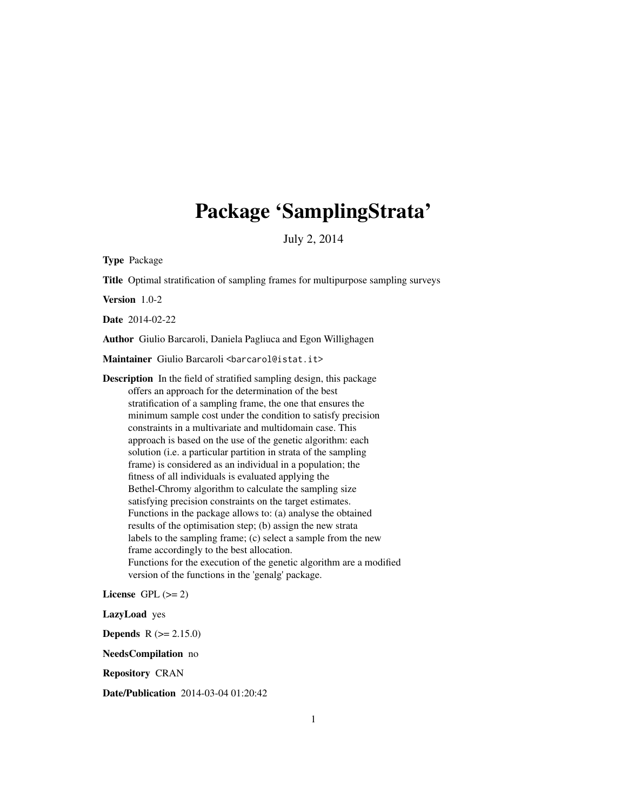# Package 'SamplingStrata'

July 2, 2014

Type Package

Title Optimal stratification of sampling frames for multipurpose sampling surveys

Version 1.0-2

Date 2014-02-22

Author Giulio Barcaroli, Daniela Pagliuca and Egon Willighagen

Maintainer Giulio Barcaroli <br/>barcarol@istat.it>

Description In the field of stratified sampling design, this package offers an approach for the determination of the best stratification of a sampling frame, the one that ensures the minimum sample cost under the condition to satisfy precision constraints in a multivariate and multidomain case. This approach is based on the use of the genetic algorithm: each solution (i.e. a particular partition in strata of the sampling frame) is considered as an individual in a population; the fitness of all individuals is evaluated applying the Bethel-Chromy algorithm to calculate the sampling size satisfying precision constraints on the target estimates. Functions in the package allows to: (a) analyse the obtained results of the optimisation step; (b) assign the new strata labels to the sampling frame; (c) select a sample from the new frame accordingly to the best allocation. Functions for the execution of the genetic algorithm are a modified version of the functions in the 'genalg' package.

License GPL  $(>= 2)$ 

LazyLoad yes

**Depends**  $R (= 2.15.0)$ 

NeedsCompilation no

Repository CRAN

Date/Publication 2014-03-04 01:20:42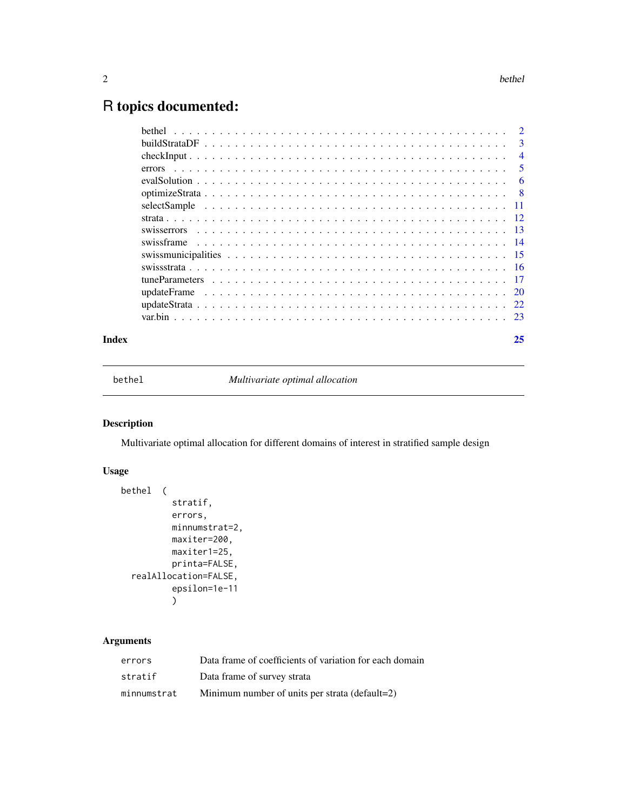## <span id="page-1-0"></span>R topics documented:

| $\mathbf{3}$   |
|----------------|
| $\overline{4}$ |
| $\overline{5}$ |
|                |
|                |
|                |
|                |
|                |
|                |
|                |
|                |
|                |
|                |
|                |
|                |
|                |

#### **Index** [25](#page-24-0)

bethel *Multivariate optimal allocation*

#### Description

Multivariate optimal allocation for different domains of interest in stratified sample design

#### Usage

```
bethel (
          stratif,
          errors,
          minnumstrat=2,
          maxiter=200,
          maxiter1=25,
          printa=FALSE,
  realAllocation=FALSE,
          epsilon=1e-11
          )
```
#### Arguments

| errors      | Data frame of coefficients of variation for each domain |
|-------------|---------------------------------------------------------|
| stratif     | Data frame of survey strata                             |
| minnumstrat | Minimum number of units per strata (default=2)          |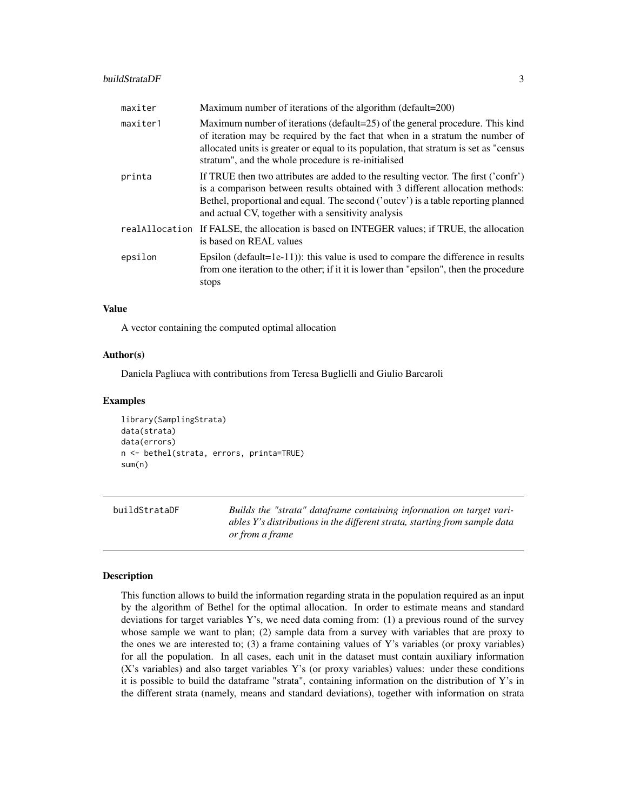#### <span id="page-2-0"></span>buildStrataDF 3

| maxiter  | Maximum number of iterations of the algorithm (default=200)                                                                                                                                                                                                                                                     |
|----------|-----------------------------------------------------------------------------------------------------------------------------------------------------------------------------------------------------------------------------------------------------------------------------------------------------------------|
| maxiter1 | Maximum number of iterations (default=25) of the general procedure. This kind<br>of iteration may be required by the fact that when in a stratum the number of<br>allocated units is greater or equal to its population, that stratum is set as "census<br>stratum", and the whole procedure is re-initialised  |
| printa   | If TRUE then two attributes are added to the resulting vector. The first ('confr')<br>is a comparison between results obtained with 3 different allocation methods:<br>Bethel, proportional and equal. The second ('outcy') is a table reporting planned<br>and actual CV, together with a sensitivity analysis |
|          | real Allocation If FALSE, the allocation is based on INTEGER values; if TRUE, the allocation<br>is based on REAL values                                                                                                                                                                                         |
| epsilon  | Epsilon (default=1e-11)): this value is used to compare the difference in results<br>from one iteration to the other; if it it is lower than "epsilon", then the procedure<br>stops                                                                                                                             |

#### Value

A vector containing the computed optimal allocation

#### Author(s)

Daniela Pagliuca with contributions from Teresa Buglielli and Giulio Barcaroli

#### Examples

```
library(SamplingStrata)
data(strata)
data(errors)
n <- bethel(strata, errors, printa=TRUE)
sum(n)
```
buildStrataDF *Builds the "strata" dataframe containing information on target variables Y's distributions in the different strata, starting from sample data or from a frame*

#### Description

This function allows to build the information regarding strata in the population required as an input by the algorithm of Bethel for the optimal allocation. In order to estimate means and standard deviations for target variables Y's, we need data coming from: (1) a previous round of the survey whose sample we want to plan; (2) sample data from a survey with variables that are proxy to the ones we are interested to; (3) a frame containing values of Y's variables (or proxy variables) for all the population. In all cases, each unit in the dataset must contain auxiliary information (X's variables) and also target variables Y's (or proxy variables) values: under these conditions it is possible to build the dataframe "strata", containing information on the distribution of Y's in the different strata (namely, means and standard deviations), together with information on strata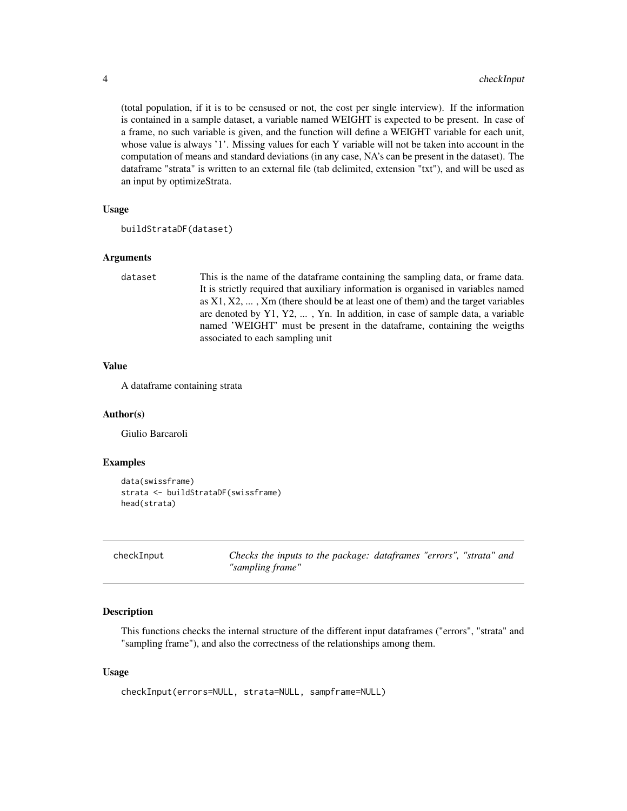(total population, if it is to be censused or not, the cost per single interview). If the information is contained in a sample dataset, a variable named WEIGHT is expected to be present. In case of a frame, no such variable is given, and the function will define a WEIGHT variable for each unit, whose value is always '1'. Missing values for each Y variable will not be taken into account in the computation of means and standard deviations (in any case, NA's can be present in the dataset). The dataframe "strata" is written to an external file (tab delimited, extension "txt"), and will be used as an input by optimizeStrata.

#### Usage

```
buildStrataDF(dataset)
```
#### Arguments

dataset This is the name of the dataframe containing the sampling data, or frame data. It is strictly required that auxiliary information is organised in variables named as  $X1, X2, \ldots, Xm$  (there should be at least one of them) and the target variables are denoted by Y1, Y2, ... , Yn. In addition, in case of sample data, a variable named 'WEIGHT' must be present in the dataframe, containing the weigths associated to each sampling unit

#### Value

A dataframe containing strata

#### Author(s)

Giulio Barcaroli

#### Examples

```
data(swissframe)
strata <- buildStrataDF(swissframe)
head(strata)
```

| checkInput |  |  |  |
|------------|--|--|--|
|            |  |  |  |

Checks the inputs to the package: dataframes "errors", "strata" and *"sampling frame"*

#### Description

This functions checks the internal structure of the different input dataframes ("errors", "strata" and "sampling frame"), and also the correctness of the relationships among them.

#### Usage

```
checkInput(errors=NULL, strata=NULL, sampframe=NULL)
```
<span id="page-3-0"></span>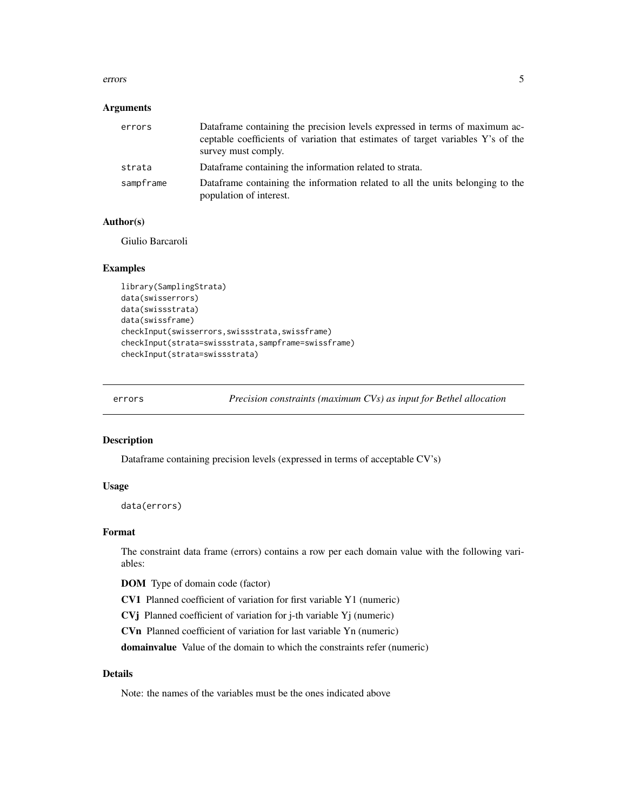#### <span id="page-4-0"></span>errors 5

#### **Arguments**

| errors    | Dataframe containing the precision levels expressed in terms of maximum ac-<br>ceptable coefficients of variation that estimates of target variables Y's of the<br>survey must comply. |
|-----------|----------------------------------------------------------------------------------------------------------------------------------------------------------------------------------------|
| strata    | Dataframe containing the information related to strata.                                                                                                                                |
| sampframe | Dataframe containing the information related to all the units belonging to the<br>population of interest.                                                                              |

#### Author(s)

Giulio Barcaroli

#### Examples

```
library(SamplingStrata)
data(swisserrors)
data(swissstrata)
data(swissframe)
checkInput(swisserrors,swissstrata,swissframe)
checkInput(strata=swissstrata,sampframe=swissframe)
checkInput(strata=swissstrata)
```
errors *Precision constraints (maximum CVs) as input for Bethel allocation*

#### Description

Dataframe containing precision levels (expressed in terms of acceptable CV's)

#### Usage

data(errors)

#### Format

The constraint data frame (errors) contains a row per each domain value with the following variables:

DOM Type of domain code (factor)

CV1 Planned coefficient of variation for first variable Y1 (numeric)

CVj Planned coefficient of variation for j-th variable Yj (numeric)

CVn Planned coefficient of variation for last variable Yn (numeric)

domainvalue Value of the domain to which the constraints refer (numeric)

#### Details

Note: the names of the variables must be the ones indicated above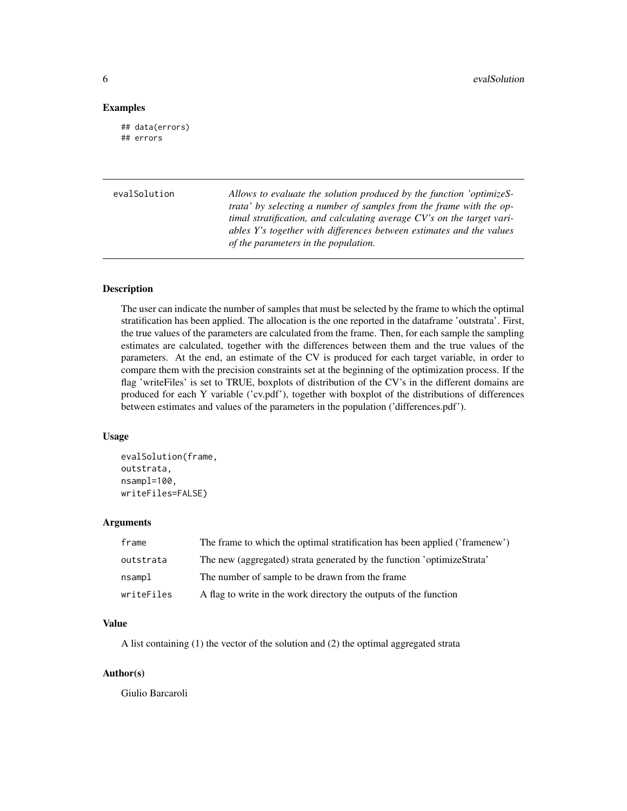#### <span id="page-5-0"></span>Examples

## data(errors) ## errors

evalSolution *Allows to evaluate the solution produced by the function 'optimizeStrata' by selecting a number of samples from the frame with the optimal stratification, and calculating average CV's on the target variables Y's together with differences between estimates and the values of the parameters in the population.*

#### **Description**

The user can indicate the number of samples that must be selected by the frame to which the optimal stratification has been applied. The allocation is the one reported in the dataframe 'outstrata'. First, the true values of the parameters are calculated from the frame. Then, for each sample the sampling estimates are calculated, together with the differences between them and the true values of the parameters. At the end, an estimate of the CV is produced for each target variable, in order to compare them with the precision constraints set at the beginning of the optimization process. If the flag 'writeFiles' is set to TRUE, boxplots of distribution of the CV's in the different domains are produced for each Y variable ('cv.pdf'), together with boxplot of the distributions of differences between estimates and values of the parameters in the population ('differences.pdf').

#### Usage

```
evalSolution(frame,
outstrata,
nsampl=100,
writeFiles=FALSE)
```
#### Arguments

| frame      | The frame to which the optimal stratification has been applied ('framenew') |
|------------|-----------------------------------------------------------------------------|
| outstrata  | The new (aggregated) strata generated by the function 'optimizeStrata'      |
| nsampl     | The number of sample to be drawn from the frame                             |
| writeFiles | A flag to write in the work directory the outputs of the function           |

#### Value

A list containing (1) the vector of the solution and (2) the optimal aggregated strata

#### Author(s)

Giulio Barcaroli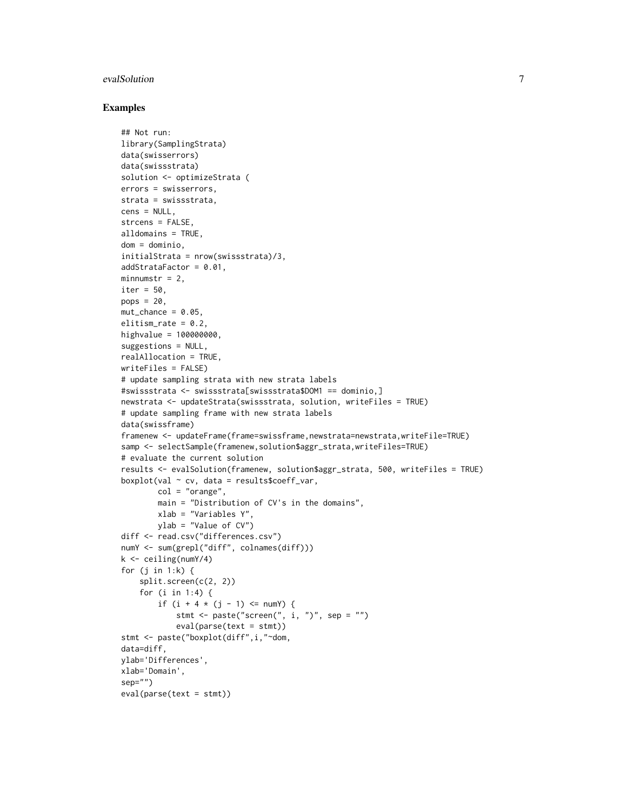#### evalSolution 7 and 2008 and 2008 and 2008 and 2008 and 2008 and 2008 and 2008 and 2008 and 2008 and 2008 and 2008 and 2008 and 2008 and 2008 and 2008 and 2008 and 2008 and 2008 and 2008 and 2008 and 2008 and 2008 and 2008

```
## Not run:
library(SamplingStrata)
data(swisserrors)
data(swissstrata)
solution <- optimizeStrata (
errors = swisserrors,
strata = swissstrata,
cens = NULL,
strcens = FALSE,
alldomains = TRUE,
dom = dominio,
initialStrata = nrow(swissstrata)/3,
addStrataFactor = 0.01,
minnumstr = 2,
iter = 50.
pops = 20,
mut{\_}chance = 0.05,
elitism_rate = 0.2,
highvalue = 100000000,
suggestions = NULL,
realAllocation = TRUE,
writeFiles = FALSE)
# update sampling strata with new strata labels
#swissstrata <- swissstrata[swissstrata$DOM1 == dominio,]
newstrata <- updateStrata(swissstrata, solution, writeFiles = TRUE)
# update sampling frame with new strata labels
data(swissframe)
framenew <- updateFrame(frame=swissframe,newstrata=newstrata,writeFile=TRUE)
samp <- selectSample(framenew,solution$aggr_strata,writeFiles=TRUE)
# evaluate the current solution
results <- evalSolution(framenew, solution$aggr_strata, 500, writeFiles = TRUE)
boxplot(val \sim cv, data = resultsscoeff_var,
        col = "orange",main = "Distribution of CV's in the domains",
        xlab = "Variables Y",
        ylab = "Value of CV")
diff <- read.csv("differences.csv")
numY <- sum(grepl("diff", colnames(diff)))
k <- ceiling(numY/4)
for (j in 1:k) {
    split.screen(c(2, 2))
    for (i in 1:4) {
        if (i + 4 * (j - 1) \leq numY) {
            stmt \leq paste("screen(", i, ")", sep = "")
            eval(parse(text = stmt))
stmt <- paste("boxplot(diff",i,"~dom,
data=diff,
ylab='Differences',
xlab='Domain',
sep="")
eval(parse(text = stmt))
```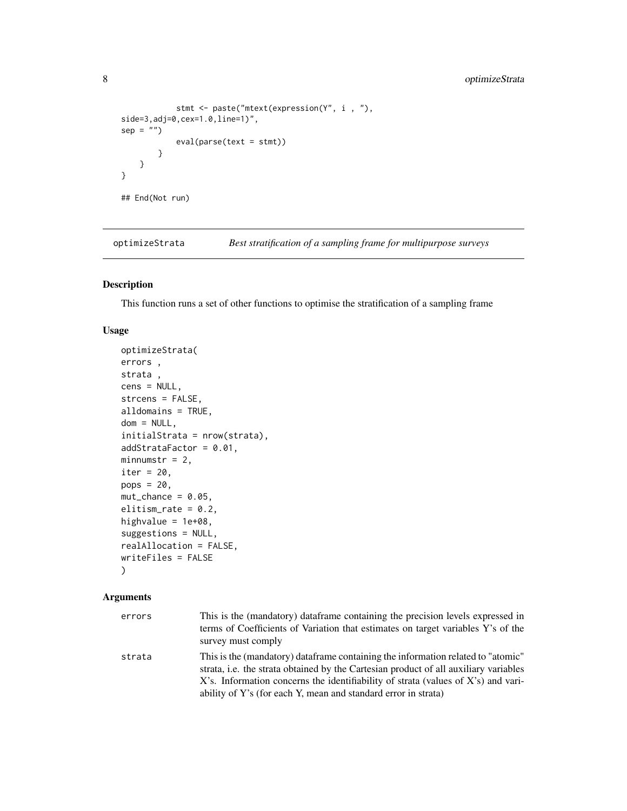```
stmt <- paste("mtext(expression(Y", i , "),
side=3,adj=0,cex=1.0,line=1)",
sep = "")eval(parse(text = stmt))}
   }
}
## End(Not run)
```
optimizeStrata *Best stratification of a sampling frame for multipurpose surveys*

#### Description

This function runs a set of other functions to optimise the stratification of a sampling frame

#### Usage

```
optimizeStrata(
errors ,
strata ,
cens = NULL,
strcens = FALSE,
alldomains = TRUE,
dom = NULL,
initialStrata = nrow(strata),
addStrataFactor = 0.01,
minnumstr = 2,
iter = 20,
pops = 20,mut{\_}chance = 0.05,
elitism_rate = 0.2,
highvalue = 1e+08,
suggestions = NULL,
realAllocation = FALSE,
writeFiles = FALSE
\mathcal{L}
```
# Arguments

| errors | This is the (mandatory) dataframe containing the precision levels expressed in<br>terms of Coefficients of Variation that estimates on target variables Y's of the<br>survey must comply                                                                                                                                        |
|--------|---------------------------------------------------------------------------------------------------------------------------------------------------------------------------------------------------------------------------------------------------------------------------------------------------------------------------------|
| strata | This is the (mandatory) dataframe containing the information related to "atomic"<br>strata, i.e. the strata obtained by the Cartesian product of all auxiliary variables<br>X's. Information concerns the identifiability of strata (values of X's) and vari-<br>ability of Y's (for each Y, mean and standard error in strata) |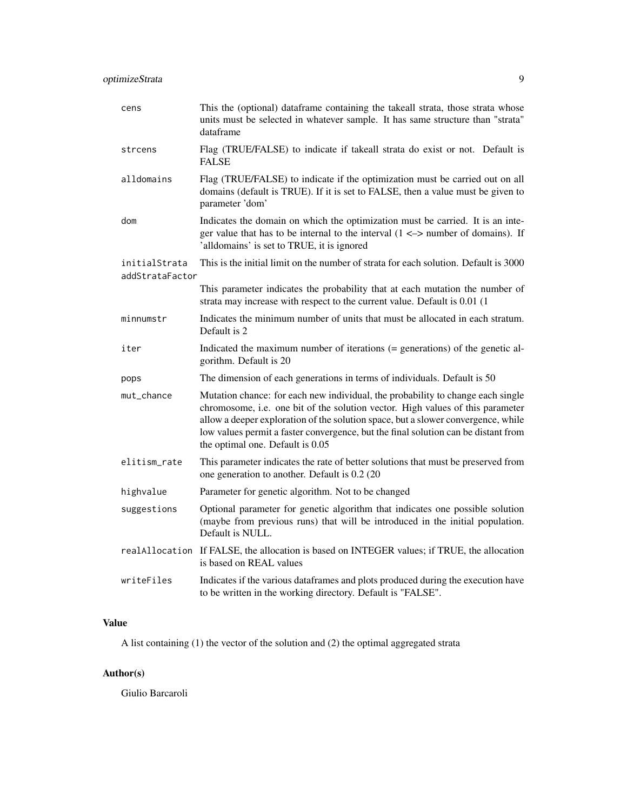| cens                             | This the (optional) dataframe containing the takeall strata, those strata whose<br>units must be selected in whatever sample. It has same structure than "strata"<br>dataframe                                                                                                                                                                                                   |
|----------------------------------|----------------------------------------------------------------------------------------------------------------------------------------------------------------------------------------------------------------------------------------------------------------------------------------------------------------------------------------------------------------------------------|
| strcens                          | Flag (TRUE/FALSE) to indicate if takeall strata do exist or not. Default is<br><b>FALSE</b>                                                                                                                                                                                                                                                                                      |
| alldomains                       | Flag (TRUE/FALSE) to indicate if the optimization must be carried out on all<br>domains (default is TRUE). If it is set to FALSE, then a value must be given to<br>parameter 'dom'                                                                                                                                                                                               |
| dom                              | Indicates the domain on which the optimization must be carried. It is an inte-<br>ger value that has to be internal to the interval $(1 \le$ > number of domains). If<br>'alldomains' is set to TRUE, it is ignored                                                                                                                                                              |
| initialStrata<br>addStrataFactor | This is the initial limit on the number of strata for each solution. Default is 3000                                                                                                                                                                                                                                                                                             |
|                                  | This parameter indicates the probability that at each mutation the number of<br>strata may increase with respect to the current value. Default is 0.01 (1                                                                                                                                                                                                                        |
| minnumstr                        | Indicates the minimum number of units that must be allocated in each stratum.<br>Default is 2                                                                                                                                                                                                                                                                                    |
| iter                             | Indicated the maximum number of iterations (= generations) of the genetic al-<br>gorithm. Default is 20                                                                                                                                                                                                                                                                          |
| pops                             | The dimension of each generations in terms of individuals. Default is 50                                                                                                                                                                                                                                                                                                         |
| mut_chance                       | Mutation chance: for each new individual, the probability to change each single<br>chromosome, i.e. one bit of the solution vector. High values of this parameter<br>allow a deeper exploration of the solution space, but a slower convergence, while<br>low values permit a faster convergence, but the final solution can be distant from<br>the optimal one. Default is 0.05 |
| elitism_rate                     | This parameter indicates the rate of better solutions that must be preserved from<br>one generation to another. Default is 0.2 (20)                                                                                                                                                                                                                                              |
| highvalue                        | Parameter for genetic algorithm. Not to be changed                                                                                                                                                                                                                                                                                                                               |
| suggestions                      | Optional parameter for genetic algorithm that indicates one possible solution<br>(maybe from previous runs) that will be introduced in the initial population.<br>Default is NULL.                                                                                                                                                                                               |
| realAllocation                   | If FALSE, the allocation is based on INTEGER values; if TRUE, the allocation<br>is based on REAL values                                                                                                                                                                                                                                                                          |
| writeFiles                       | Indicates if the various dataframes and plots produced during the execution have<br>to be written in the working directory. Default is "FALSE".                                                                                                                                                                                                                                  |

#### Value

A list containing (1) the vector of the solution and (2) the optimal aggregated strata

### Author(s)

Giulio Barcaroli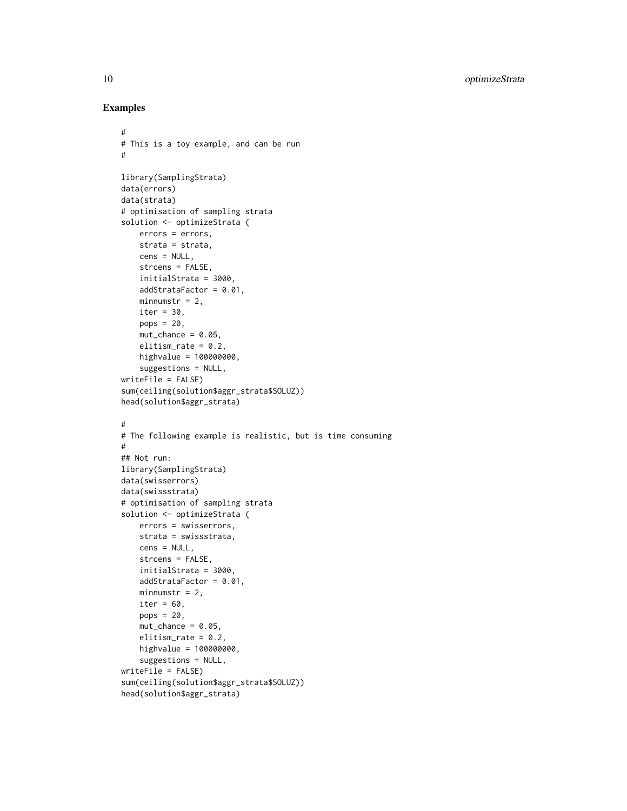```
#
# This is a toy example, and can be run
#
library(SamplingStrata)
data(errors)
data(strata)
# optimisation of sampling strata
solution <- optimizeStrata (
   errors = errors,
   strata = strata,
   cens = NULL,
   strcens = FALSE,
   initialStrata = 3000,
   addStrataFactor = 0.01,
   minnumstr = 2,
   iter = 30,
   pops = 20,mut{\_}chance = 0.05,elitism_rate = 0.2,
   highvalue = 100000000,
    suggestions = NULL,
writeFile = FALSE)
sum(ceiling(solution$aggr_strata$SOLUZ))
head(solution$aggr_strata)
#
# The following example is realistic, but is time consuming
#
## Not run:
library(SamplingStrata)
data(swisserrors)
data(swissstrata)
# optimisation of sampling strata
solution <- optimizeStrata (
   errors = swisserrors,
   strata = swissstrata,
   cens = NULL,
   strcens = FALSE,
   initialStrata = 3000,
   addStrataFactor = 0.01,
   minnumstr = 2,
   iter = 60,
   pops = 20,
   mut{\_}chance = 0.05,elitism_rate = 0.2,
   highvalue = 100000000,
    suggestions = NULL,
writeFile = FALSE)
sum(ceiling(solution$aggr_strata$SOLUZ))
head(solution$aggr_strata)
```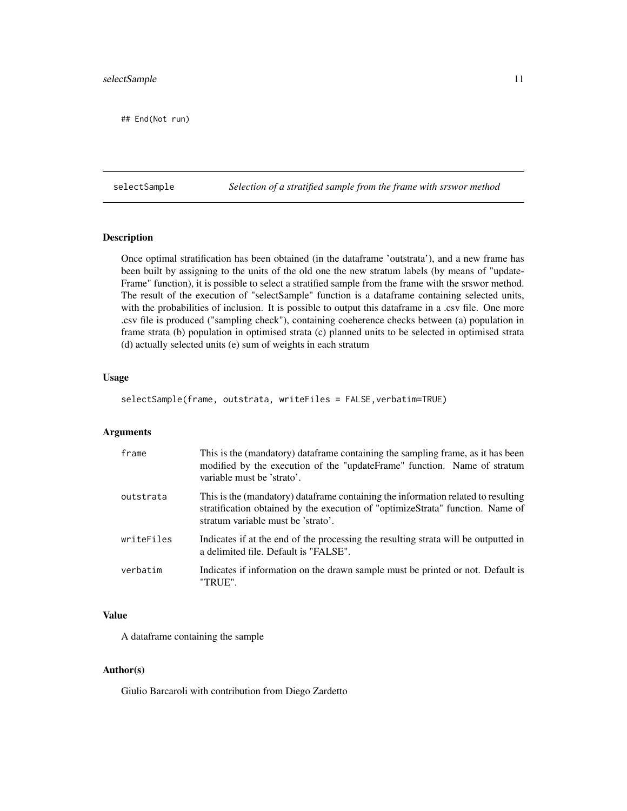#### <span id="page-10-0"></span>selectSample 11

## End(Not run)

selectSample *Selection of a stratified sample from the frame with srswor method*

#### Description

Once optimal stratification has been obtained (in the dataframe 'outstrata'), and a new frame has been built by assigning to the units of the old one the new stratum labels (by means of "update-Frame" function), it is possible to select a stratified sample from the frame with the srswor method. The result of the execution of "selectSample" function is a dataframe containing selected units, with the probabilities of inclusion. It is possible to output this dataframe in a .csv file. One more .csv file is produced ("sampling check"), containing coeherence checks between (a) population in frame strata (b) population in optimised strata (c) planned units to be selected in optimised strata (d) actually selected units (e) sum of weights in each stratum

#### Usage

selectSample(frame, outstrata, writeFiles = FALSE,verbatim=TRUE)

#### Arguments

| frame      | This is the (mandatory) dataframe containing the sampling frame, as it has been<br>modified by the execution of the "updateFrame" function. Name of stratum<br>variable must be 'strato'.                 |
|------------|-----------------------------------------------------------------------------------------------------------------------------------------------------------------------------------------------------------|
| outstrata  | This is the (mandatory) dataframe containing the information related to resulting<br>stratification obtained by the execution of "optimizeStrata" function. Name of<br>stratum variable must be 'strato'. |
| writeFiles | Indicates if at the end of the processing the resulting strata will be outputted in<br>a delimited file. Default is "FALSE".                                                                              |
| verbatim   | Indicates if information on the drawn sample must be printed or not. Default is<br>"TRUE".                                                                                                                |

#### Value

A dataframe containing the sample

#### Author(s)

Giulio Barcaroli with contribution from Diego Zardetto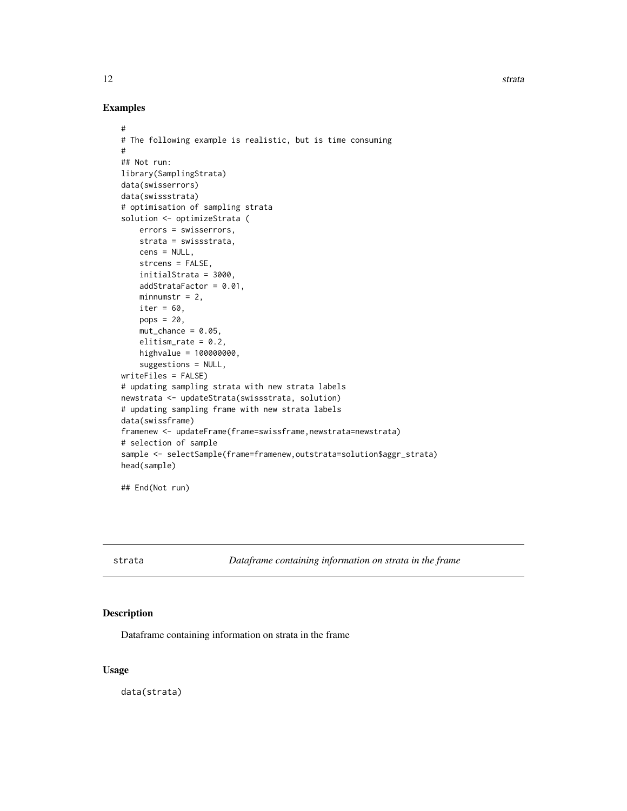12 strata

#### Examples

```
#
# The following example is realistic, but is time consuming
#
## Not run:
library(SamplingStrata)
data(swisserrors)
data(swissstrata)
# optimisation of sampling strata
solution <- optimizeStrata (
   errors = swisserrors,
   strata = swissstrata,
   cens = NULL,
    strcens = FALSE,
    initialStrata = 3000,
    addStrataFactor = 0.01,
   minnumstr = 2,
    iter = 60,
   pops = 20,
   mut{\_}chance = 0.05,elitism_rate = 0.2,
   highvalue = 100000000,
    suggestions = NULL,
writeFiles = FALSE)
# updating sampling strata with new strata labels
newstrata <- updateStrata(swissstrata, solution)
# updating sampling frame with new strata labels
data(swissframe)
framenew <- updateFrame(frame=swissframe,newstrata=newstrata)
# selection of sample
sample <- selectSample(frame=framenew,outstrata=solution$aggr_strata)
head(sample)
## End(Not run)
```
strata *Dataframe containing information on strata in the frame*

#### Description

Dataframe containing information on strata in the frame

#### Usage

data(strata)

<span id="page-11-0"></span>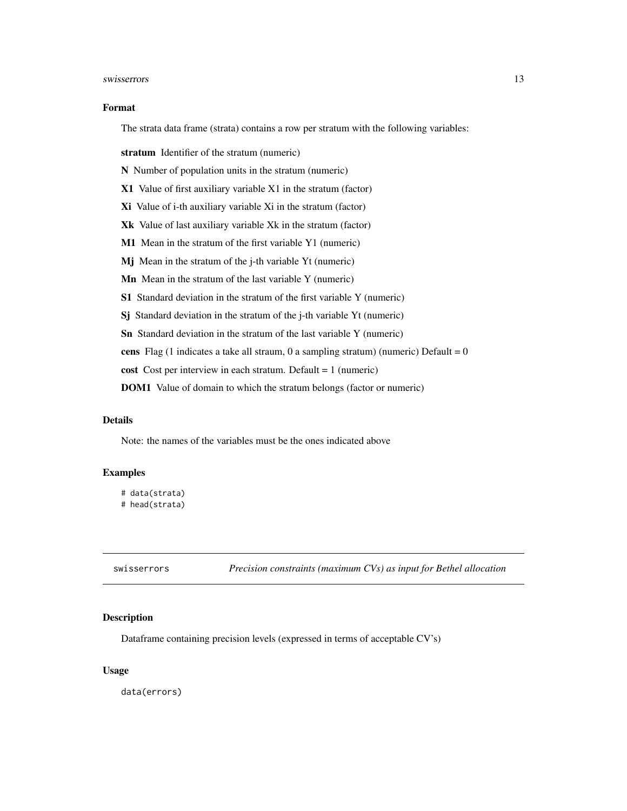#### <span id="page-12-0"></span>swisserrors and the state of the state of the state of the state of the state of the state of the state of the state of the state of the state of the state of the state of the state of the state of the state of the state o

#### Format

The strata data frame (strata) contains a row per stratum with the following variables:

stratum Identifier of the stratum (numeric)

N Number of population units in the stratum (numeric)

X1 Value of first auxiliary variable X1 in the stratum (factor)

Xi Value of i-th auxiliary variable Xi in the stratum (factor)

Xk Value of last auxiliary variable Xk in the stratum (factor)

M1 Mean in the stratum of the first variable Y1 (numeric)

Mj Mean in the stratum of the j-th variable Yt (numeric)

Mn Mean in the stratum of the last variable Y (numeric)

S1 Standard deviation in the stratum of the first variable Y (numeric)

Sj Standard deviation in the stratum of the j-th variable Yt (numeric)

Sn Standard deviation in the stratum of the last variable Y (numeric)

cens Flag (1 indicates a take all straum, 0 a sampling stratum) (numeric) Default =  $0$ 

cost Cost per interview in each stratum. Default = 1 (numeric)

DOM1 Value of domain to which the stratum belongs (factor or numeric)

#### **Details**

Note: the names of the variables must be the ones indicated above

#### Examples

```
# data(strata)
# head(strata)
```
swisserrors *Precision constraints (maximum CVs) as input for Bethel allocation*

#### Description

Dataframe containing precision levels (expressed in terms of acceptable CV's)

#### Usage

data(errors)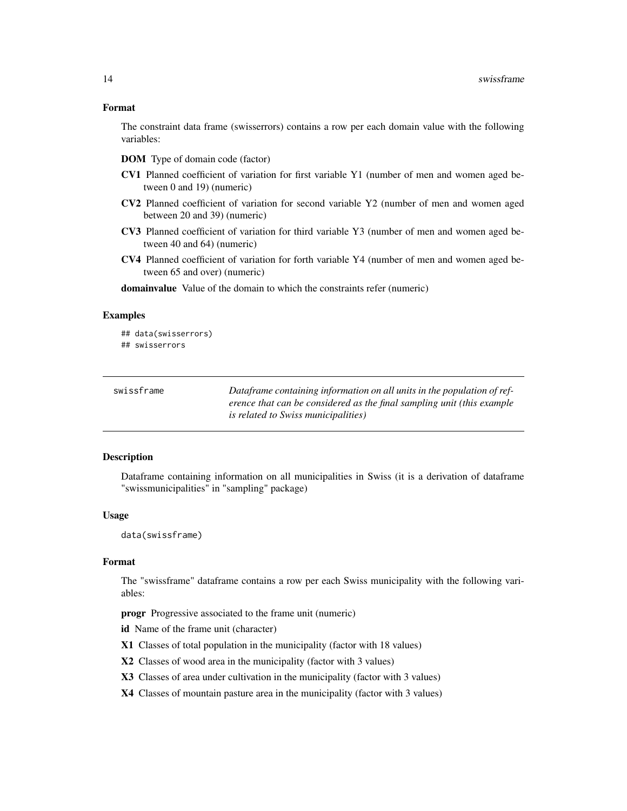#### <span id="page-13-0"></span>Format

The constraint data frame (swisserrors) contains a row per each domain value with the following variables:

- DOM Type of domain code (factor)
- CV1 Planned coefficient of variation for first variable Y1 (number of men and women aged between 0 and 19) (numeric)
- CV2 Planned coefficient of variation for second variable Y2 (number of men and women aged between 20 and 39) (numeric)
- CV3 Planned coefficient of variation for third variable Y3 (number of men and women aged between 40 and 64) (numeric)
- CV4 Planned coefficient of variation for forth variable Y4 (number of men and women aged between 65 and over) (numeric)

domainvalue Value of the domain to which the constraints refer (numeric)

#### Examples

## data(swisserrors) ## swisserrors

| swissframe | Dataframe containing information on all units in the population of ref- |
|------------|-------------------------------------------------------------------------|
|            | erence that can be considered as the final sampling unit (this example  |
|            | <i>is related to Swiss municipalities</i> )                             |

#### Description

Dataframe containing information on all municipalities in Swiss (it is a derivation of dataframe "swissmunicipalities" in "sampling" package)

#### Usage

data(swissframe)

#### Format

The "swissframe" dataframe contains a row per each Swiss municipality with the following variables:

progr Progressive associated to the frame unit (numeric)

id Name of the frame unit (character)

- X1 Classes of total population in the municipality (factor with 18 values)
- X2 Classes of wood area in the municipality (factor with 3 values)
- X3 Classes of area under cultivation in the municipality (factor with 3 values)
- X4 Classes of mountain pasture area in the municipality (factor with 3 values)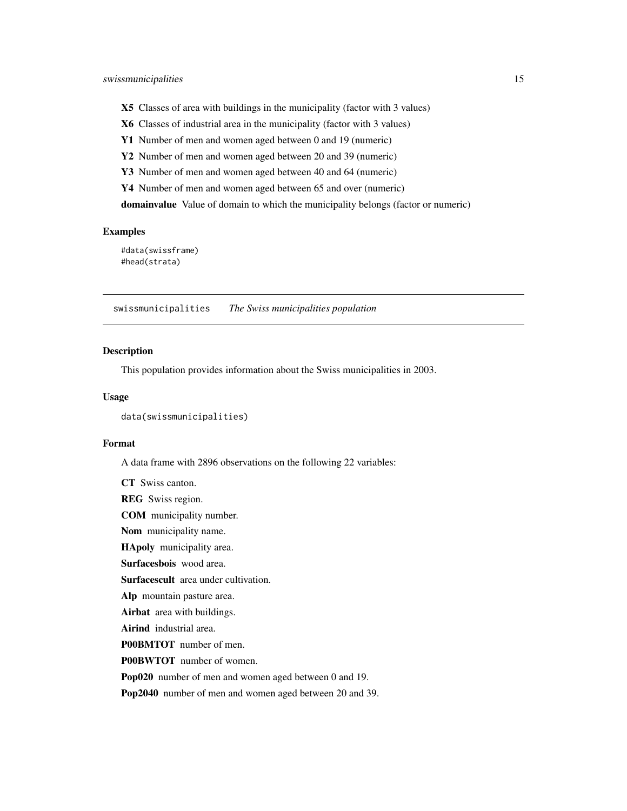- <span id="page-14-0"></span>X5 Classes of area with buildings in the municipality (factor with 3 values)
- X6 Classes of industrial area in the municipality (factor with 3 values)
- Y1 Number of men and women aged between 0 and 19 (numeric)
- Y2 Number of men and women aged between 20 and 39 (numeric)
- Y3 Number of men and women aged between 40 and 64 (numeric)
- Y4 Number of men and women aged between 65 and over (numeric)

domainvalue Value of domain to which the municipality belongs (factor or numeric)

#### Examples

#data(swissframe) #head(strata)

swissmunicipalities *The Swiss municipalities population*

#### Description

This population provides information about the Swiss municipalities in 2003.

#### Usage

```
data(swissmunicipalities)
```
CT Swiss canton.

#### Format

A data frame with 2896 observations on the following 22 variables:

REG Swiss region. COM municipality number. Nom municipality name. HApoly municipality area. Surfacesbois wood area. Surfacescult area under cultivation. Alp mountain pasture area. Airbat area with buildings. Airind industrial area. P00BMTOT number of men. P00BWTOT number of women. Pop020 number of men and women aged between 0 and 19. Pop2040 number of men and women aged between 20 and 39.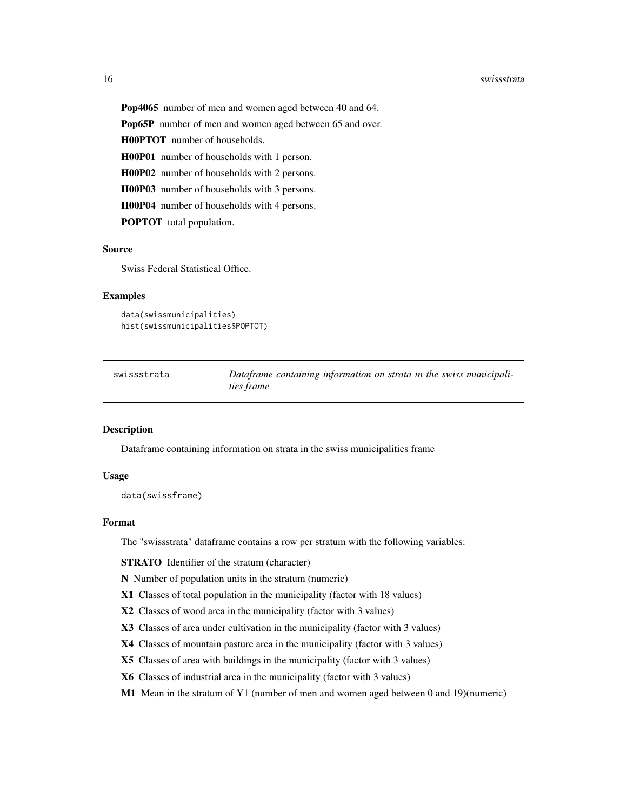#### <span id="page-15-0"></span>16 swissstrata and the swiss of the swiss swiss strategy and the swiss strategy and the swiss strategy and the swiss strategy and the swiss strategy and the swiss strategy and the swiss strategy and the swiss strategy and

Pop4065 number of men and women aged between 40 and 64.

Pop65P number of men and women aged between 65 and over.

H00PTOT number of households.

H00P01 number of households with 1 person.

H00P02 number of households with 2 persons.

H00P03 number of households with 3 persons.

H00P04 number of households with 4 persons.

POPTOT total population.

#### Source

Swiss Federal Statistical Office.

#### Examples

```
data(swissmunicipalities)
hist(swissmunicipalities$POPTOT)
```

| swissstrata | Dataframe containing information on strata in the swiss municipali- |
|-------------|---------------------------------------------------------------------|
|             | ties frame                                                          |

#### Description

Dataframe containing information on strata in the swiss municipalities frame

#### Usage

data(swissframe)

#### Format

The "swissstrata" dataframe contains a row per stratum with the following variables:

STRATO Identifier of the stratum (character)

N Number of population units in the stratum (numeric)

- X1 Classes of total population in the municipality (factor with 18 values)
- X2 Classes of wood area in the municipality (factor with 3 values)
- X3 Classes of area under cultivation in the municipality (factor with 3 values)
- X4 Classes of mountain pasture area in the municipality (factor with 3 values)
- X5 Classes of area with buildings in the municipality (factor with 3 values)
- X6 Classes of industrial area in the municipality (factor with 3 values)
- M1 Mean in the stratum of Y1 (number of men and women aged between 0 and 19)(numeric)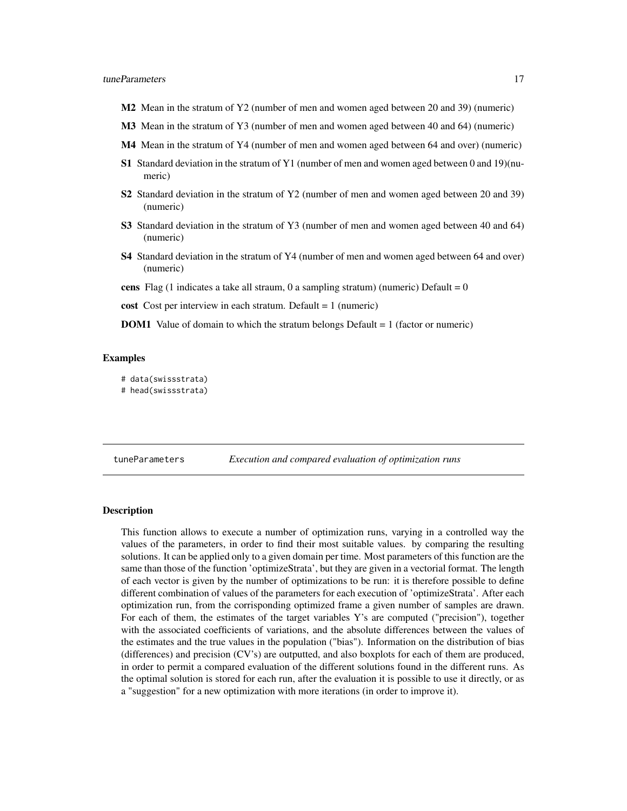- <span id="page-16-0"></span>M2 Mean in the stratum of Y2 (number of men and women aged between 20 and 39) (numeric)
- M3 Mean in the stratum of Y3 (number of men and women aged between 40 and 64) (numeric)
- M4 Mean in the stratum of Y4 (number of men and women aged between 64 and over) (numeric)
- S1 Standard deviation in the stratum of Y1 (number of men and women aged between 0 and 19)(numeric)
- S2 Standard deviation in the stratum of Y2 (number of men and women aged between 20 and 39) (numeric)
- S3 Standard deviation in the stratum of Y3 (number of men and women aged between 40 and 64) (numeric)
- S4 Standard deviation in the stratum of Y4 (number of men and women aged between 64 and over) (numeric)
- cens Flag (1 indicates a take all straum, 0 a sampling stratum) (numeric) Default =  $0$
- cost Cost per interview in each stratum. Default  $= 1$  (numeric)
- DOM1 Value of domain to which the stratum belongs Default = 1 (factor or numeric)

#### Examples

- # data(swissstrata)
- # head(swissstrata)

tuneParameters *Execution and compared evaluation of optimization runs*

#### **Description**

This function allows to execute a number of optimization runs, varying in a controlled way the values of the parameters, in order to find their most suitable values. by comparing the resulting solutions. It can be applied only to a given domain per time. Most parameters of this function are the same than those of the function 'optimizeStrata', but they are given in a vectorial format. The length of each vector is given by the number of optimizations to be run: it is therefore possible to define different combination of values of the parameters for each execution of 'optimizeStrata'. After each optimization run, from the corrisponding optimized frame a given number of samples are drawn. For each of them, the estimates of the target variables Y's are computed ("precision"), together with the associated coefficients of variations, and the absolute differences between the values of the estimates and the true values in the population ("bias"). Information on the distribution of bias (differences) and precision (CV's) are outputted, and also boxplots for each of them are produced, in order to permit a compared evaluation of the different solutions found in the different runs. As the optimal solution is stored for each run, after the evaluation it is possible to use it directly, or as a "suggestion" for a new optimization with more iterations (in order to improve it).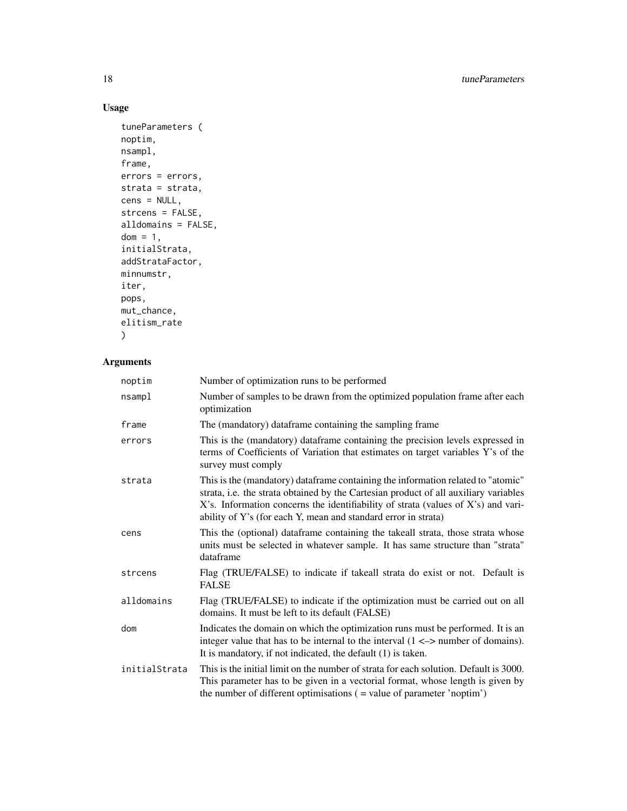#### Usage

```
tuneParameters (
noptim,
nsampl,
frame,
errors = errors,
strata = strata,
cens = NULL,
strcens = FALSE,
alldomains = FALSE,
dom = 1,
initialStrata,
addStrataFactor,
minnumstr,
iter,
pops,
mut_chance,
elitism_rate
\mathcal{L}
```
#### Arguments

| noptim        | Number of optimization runs to be performed                                                                                                                                                                                                                                                                                     |
|---------------|---------------------------------------------------------------------------------------------------------------------------------------------------------------------------------------------------------------------------------------------------------------------------------------------------------------------------------|
| nsampl        | Number of samples to be drawn from the optimized population frame after each<br>optimization                                                                                                                                                                                                                                    |
| frame         | The (mandatory) dataframe containing the sampling frame                                                                                                                                                                                                                                                                         |
| errors        | This is the (mandatory) dataframe containing the precision levels expressed in<br>terms of Coefficients of Variation that estimates on target variables Y's of the<br>survey must comply                                                                                                                                        |
| strata        | This is the (mandatory) dataframe containing the information related to "atomic"<br>strata, i.e. the strata obtained by the Cartesian product of all auxiliary variables<br>X's. Information concerns the identifiability of strata (values of X's) and vari-<br>ability of Y's (for each Y, mean and standard error in strata) |
| cens          | This the (optional) dataframe containing the takeall strata, those strata whose<br>units must be selected in whatever sample. It has same structure than "strata"<br>dataframe                                                                                                                                                  |
| strcens       | Flag (TRUE/FALSE) to indicate if takeall strata do exist or not. Default is<br><b>FALSE</b>                                                                                                                                                                                                                                     |
| alldomains    | Flag (TRUE/FALSE) to indicate if the optimization must be carried out on all<br>domains. It must be left to its default (FALSE)                                                                                                                                                                                                 |
| dom           | Indicates the domain on which the optimization runs must be performed. It is an<br>integer value that has to be internal to the interval $(1 \le x$ number of domains).<br>It is mandatory, if not indicated, the default (1) is taken.                                                                                         |
| initialStrata | This is the initial limit on the number of strata for each solution. Default is 3000.<br>This parameter has to be given in a vectorial format, whose length is given by<br>the number of different optimisations ( = value of parameter 'noptim')                                                                               |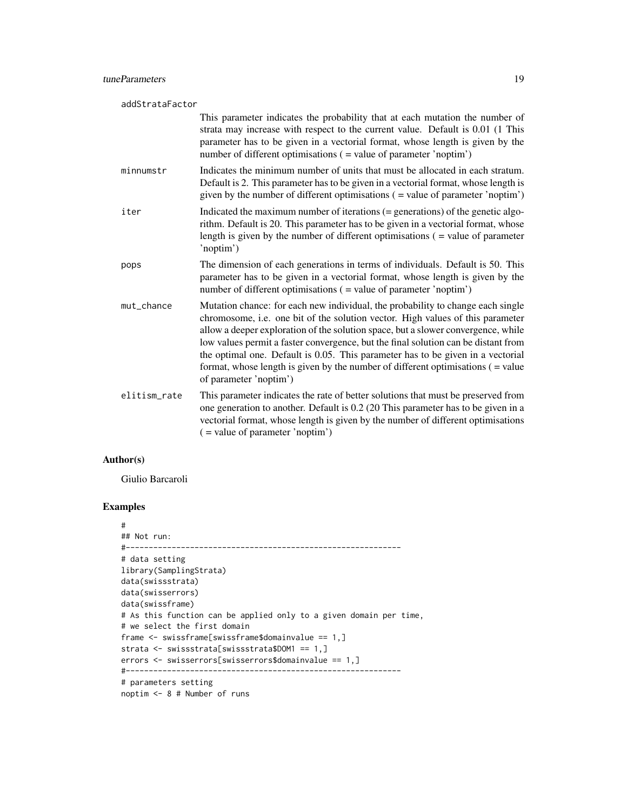| addStrataFactor |              |                                                                                                                                                                                                                                                                                                                                                                                                                                                                                                                                                 |
|-----------------|--------------|-------------------------------------------------------------------------------------------------------------------------------------------------------------------------------------------------------------------------------------------------------------------------------------------------------------------------------------------------------------------------------------------------------------------------------------------------------------------------------------------------------------------------------------------------|
|                 |              | This parameter indicates the probability that at each mutation the number of<br>strata may increase with respect to the current value. Default is 0.01 (1 This<br>parameter has to be given in a vectorial format, whose length is given by the<br>number of different optimisations ( = value of parameter 'noptim')                                                                                                                                                                                                                           |
|                 | minnumstr    | Indicates the minimum number of units that must be allocated in each stratum.<br>Default is 2. This parameter has to be given in a vectorial format, whose length is<br>given by the number of different optimisations ( = value of parameter 'noptim')                                                                                                                                                                                                                                                                                         |
|                 | iter         | Indicated the maximum number of iterations $(=$ generations) of the genetic algo-<br>rithm. Default is 20. This parameter has to be given in a vectorial format, whose<br>length is given by the number of different optimisations $($ = value of parameter<br>'noptim')                                                                                                                                                                                                                                                                        |
|                 | pops         | The dimension of each generations in terms of individuals. Default is 50. This<br>parameter has to be given in a vectorial format, whose length is given by the<br>number of different optimisations ( = value of parameter 'noptim')                                                                                                                                                                                                                                                                                                           |
|                 | mut_chance   | Mutation chance: for each new individual, the probability to change each single<br>chromosome, i.e. one bit of the solution vector. High values of this parameter<br>allow a deeper exploration of the solution space, but a slower convergence, while<br>low values permit a faster convergence, but the final solution can be distant from<br>the optimal one. Default is 0.05. This parameter has to be given in a vectorial<br>format, whose length is given by the number of different optimisations $($ = value<br>of parameter 'noptim') |
|                 | elitism_rate | This parameter indicates the rate of better solutions that must be preserved from<br>one generation to another. Default is 0.2 (20 This parameter has to be given in a<br>vectorial format, whose length is given by the number of different optimisations<br>$($ = value of parameter 'noptim')                                                                                                                                                                                                                                                |

#### Author(s)

Giulio Barcaroli

#### Examples

```
#
## Not run:
#------------------------------------------------------------
# data setting
library(SamplingStrata)
data(swissstrata)
data(swisserrors)
data(swissframe)
# As this function can be applied only to a given domain per time,
# we select the first domain
frame <- swissframe[swissframe$domainvalue == 1,]
strata <- swissstrata[swissstrata$DOM1 == 1,]
errors <- swisserrors[swisserrors$domainvalue == 1,]
#------------------------------------------------------------
# parameters setting
```
noptim <- 8 # Number of runs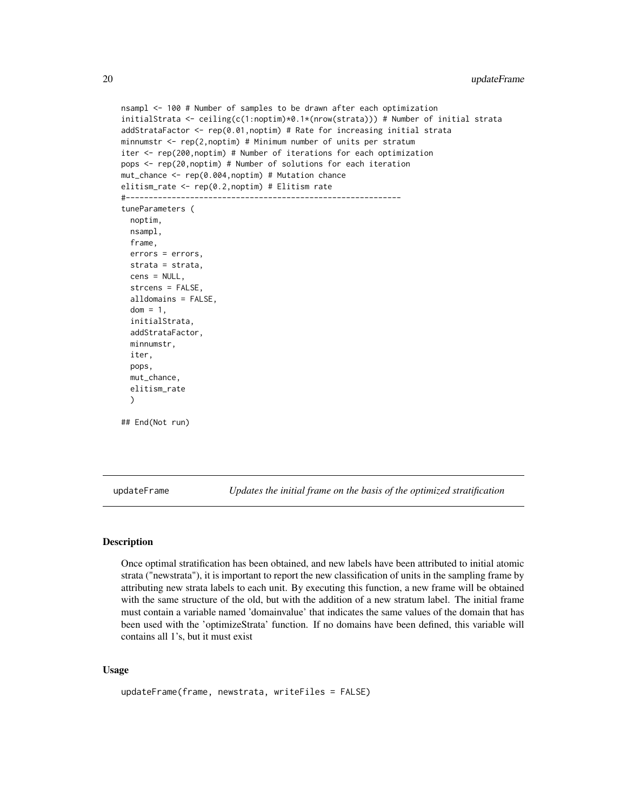```
nsampl <- 100 # Number of samples to be drawn after each optimization
initialStrata <- ceiling(c(1:noptim)*0.1*(nrow(strata))) # Number of initial strata
addStrataFactor <- rep(0.01,noptim) # Rate for increasing initial strata
minnumstr \leq rep(2, noptim) # Minimum number of units per stratum
iter <- rep(200,noptim) # Number of iterations for each optimization
pops <- rep(20,noptim) # Number of solutions for each iteration
mut_chance <- rep(0.004,noptim) # Mutation chance
elitism_rate <- rep(0.2,noptim) # Elitism rate
#------------------------------------------------------------
tuneParameters (
  noptim,
  nsampl,
  frame,
  errors = errors,
  strata = strata,
  cens = NULL,
  strcens = FALSE,
  alldomains = FALSE,
  dom = 1,
  initialStrata,
  addStrataFactor,
  minnumstr,
  iter,
  pops,
  mut_chance,
  elitism_rate
  )
## End(Not run)
```
updateFrame *Updates the initial frame on the basis of the optimized stratification*

#### Description

Once optimal stratification has been obtained, and new labels have been attributed to initial atomic strata ("newstrata"), it is important to report the new classification of units in the sampling frame by attributing new strata labels to each unit. By executing this function, a new frame will be obtained with the same structure of the old, but with the addition of a new stratum label. The initial frame must contain a variable named 'domainvalue' that indicates the same values of the domain that has been used with the 'optimizeStrata' function. If no domains have been defined, this variable will contains all 1's, but it must exist

#### Usage

```
updateFrame(frame, newstrata, writeFiles = FALSE)
```
<span id="page-19-0"></span>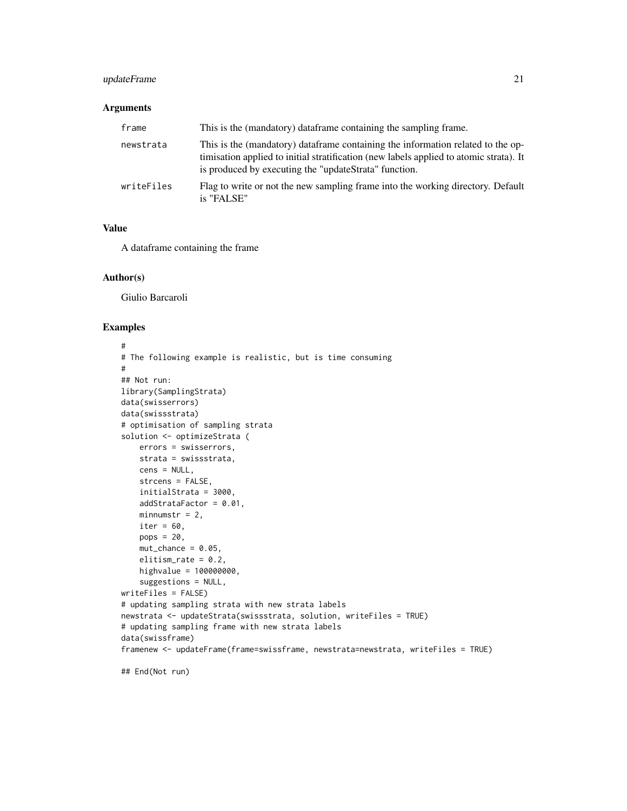#### updateFrame 21

#### Arguments

| frame      | This is the (mandatory) dataframe containing the sampling frame.                                                                                                                                                                    |
|------------|-------------------------------------------------------------------------------------------------------------------------------------------------------------------------------------------------------------------------------------|
| newstrata  | This is the (mandatory) data frame containing the information related to the op-<br>timisation applied to initial stratification (new labels applied to atomic strata). It<br>is produced by executing the "updateStrata" function. |
| writeFiles | Flag to write or not the new sampling frame into the working directory. Default<br>is "FALSE"                                                                                                                                       |

#### Value

A dataframe containing the frame

#### Author(s)

Giulio Barcaroli

```
#
# The following example is realistic, but is time consuming
#
## Not run:
library(SamplingStrata)
data(swisserrors)
data(swissstrata)
# optimisation of sampling strata
solution <- optimizeStrata (
    errors = swisserrors,
    strata = swissstrata,
    cens = NULL,
    strcens = FALSE,
    initialStrata = 3000,
    addStrataFactor = 0.01,
    minnumstr = 2,
    iter = 60,
    pops = 20,
    mut{\_}chance = 0.05,
    elitism_rate = 0.2,
    highvalue = 100000000,
    suggestions = NULL,
writeFiles = FALSE)
# updating sampling strata with new strata labels
newstrata <- updateStrata(swissstrata, solution, writeFiles = TRUE)
# updating sampling frame with new strata labels
data(swissframe)
framenew <- updateFrame(frame=swissframe, newstrata=newstrata, writeFiles = TRUE)
```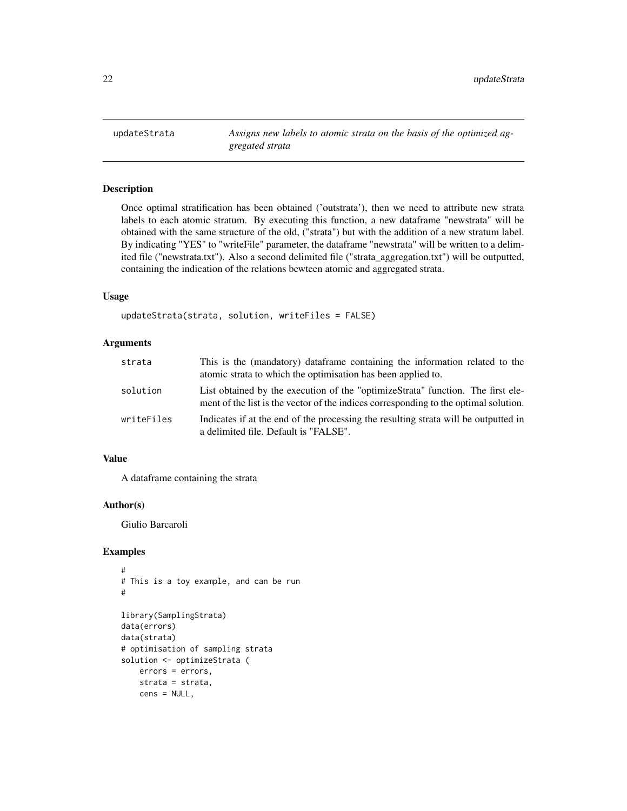<span id="page-21-0"></span>

#### Description

Once optimal stratification has been obtained ('outstrata'), then we need to attribute new strata labels to each atomic stratum. By executing this function, a new dataframe "newstrata" will be obtained with the same structure of the old, ("strata") but with the addition of a new stratum label. By indicating "YES" to "writeFile" parameter, the dataframe "newstrata" will be written to a delimited file ("newstrata.txt"). Also a second delimited file ("strata\_aggregation.txt") will be outputted, containing the indication of the relations bewteen atomic and aggregated strata.

#### Usage

```
updateStrata(strata, solution, writeFiles = FALSE)
```
#### Arguments

| strata     | This is the (mandatory) dataframe containing the information related to the<br>atomic strata to which the optimisation has been applied to.                             |
|------------|-------------------------------------------------------------------------------------------------------------------------------------------------------------------------|
| solution   | List obtained by the execution of the "optimizeStrata" function. The first ele-<br>ment of the list is the vector of the indices corresponding to the optimal solution. |
| writeFiles | Indicates if at the end of the processing the resulting strata will be outputted in<br>a delimited file. Default is "FALSE".                                            |

#### Value

A dataframe containing the strata

#### Author(s)

Giulio Barcaroli

```
#
# This is a toy example, and can be run
#
library(SamplingStrata)
data(errors)
data(strata)
# optimisation of sampling strata
solution <- optimizeStrata (
   errors = errors,
   strata = strata,
   cens = NULL,
```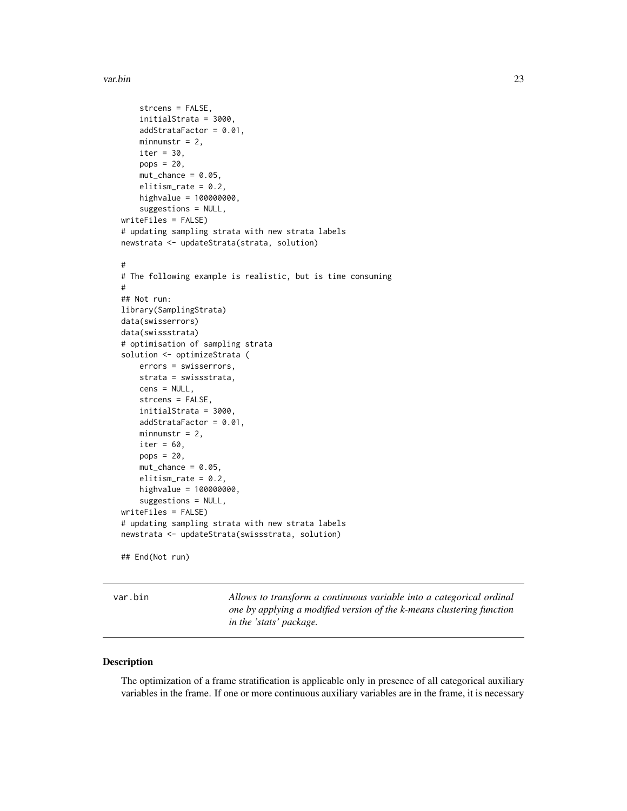#### <span id="page-22-0"></span>var.bin 23

```
strcens = FALSE,
    initialStrata = 3000,
    addStrataFactor = 0.01,
   minnumstr = 2,
    iter = 30,
   pops = 20,
    mut{\_}chance = 0.05,elitism_rate = 0.2,
   highvalue = 100000000,
    suggestions = NULL,
writeFiles = FALSE)
# updating sampling strata with new strata labels
newstrata <- updateStrata(strata, solution)
#
# The following example is realistic, but is time consuming
#
## Not run:
library(SamplingStrata)
data(swisserrors)
data(swissstrata)
# optimisation of sampling strata
solution <- optimizeStrata (
   errors = swisserrors,
   strata = swissstrata,
    cens = NULL,
    strcens = FALSE,
    initialStrata = 3000,
    addStrataFactor = 0.01,
   minnumstr = 2,
    iter = 60,
   pops = 20,
    mut{\_}chance = 0.05,elitism_rate = 0.2,
   highvalue = 100000000,
    suggestions = NULL,
writeFiles = FALSE)
# updating sampling strata with new strata labels
newstrata <- updateStrata(swissstrata, solution)
## End(Not run)
```
var.bin *Allows to transform a continuous variable into a categorical ordinal one by applying a modified version of the k-means clustering function in the 'stats' package.*

#### Description

The optimization of a frame stratification is applicable only in presence of all categorical auxiliary variables in the frame. If one or more continuous auxiliary variables are in the frame, it is necessary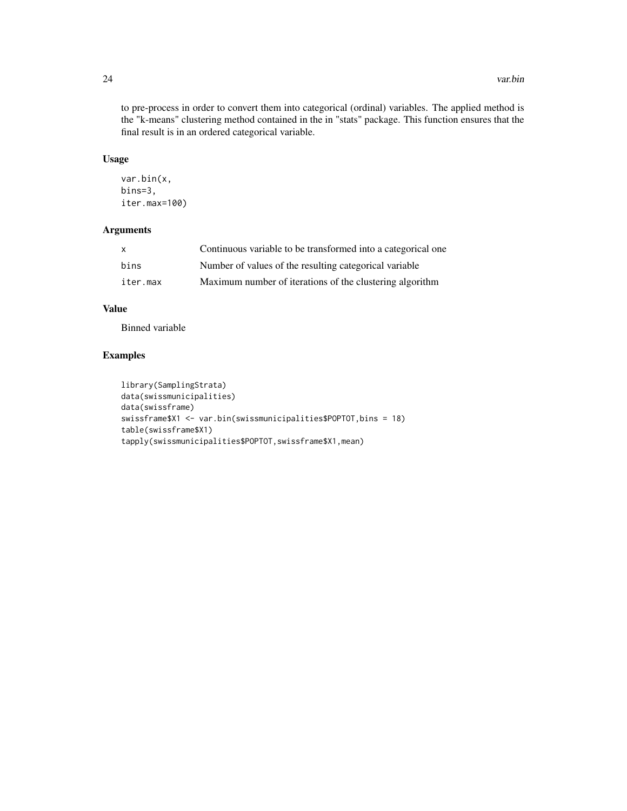to pre-process in order to convert them into categorical (ordinal) variables. The applied method is the "k-means" clustering method contained in the in "stats" package. This function ensures that the final result is in an ordered categorical variable.

#### Usage

```
var.bin(x,
bins=3,
iter.max=100)
```
#### Arguments

| $\mathsf{X}$ | Continuous variable to be transformed into a categorical one |
|--------------|--------------------------------------------------------------|
| bins         | Number of values of the resulting categorical variable       |
| iter.max     | Maximum number of iterations of the clustering algorithm     |

#### Value

Binned variable

```
library(SamplingStrata)
data(swissmunicipalities)
data(swissframe)
swissframe$X1 <- var.bin(swissmunicipalities$POPTOT,bins = 18)
table(swissframe$X1)
tapply(swissmunicipalities$POPTOT,swissframe$X1,mean)
```